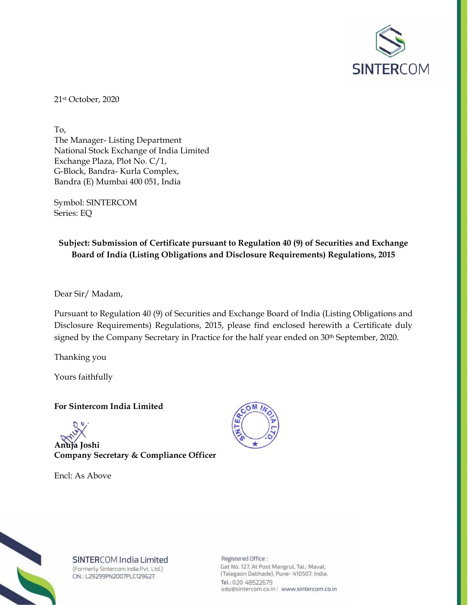

21st October, 2020

To, The Manager- Listing Department National Stock Exchange of India Limited Exchange Plaza, Plot No. C/1, G-Block, Bandra- Kurla Complex, Bandra (E) Mumbai 400 051, India

Symbol: SINTERCOM Series: EQ

## **Subject: Submission of Certificate pursuant to Regulation 40 (9) of Securities and Exchange Board of India (Listing Obligations and Disclosure Requirements) Regulations, 2015**

Dear Sir/ Madam,

Pursuant to Regulation 40 (9) of Securities and Exchange Board of India (Listing Obligations and Disclosure Requirements) Regulations, 2015, please find enclosed herewith a Certificate duly signed by the Company Secretary in Practice for the half year ended on 30<sup>th</sup> September, 2020.

Thanking you

Yours faithfully

## **For Sintercom India Limited**



**Company Secretary & Compliance Officer** 

Encl: As Above





SINTERCOM India Limited (Formerly Sintercom India Pvt. Ltd.) CIN.: L29299PN2007PLC129627

Registered Office : Gat No. 127, At Post Mangrul, Tal.: Maval, (Talegaon Dabhade), Pune- 410507. India. Tel.: 020 48522679 info@sintercom.co.in | www.sintercom.co.in